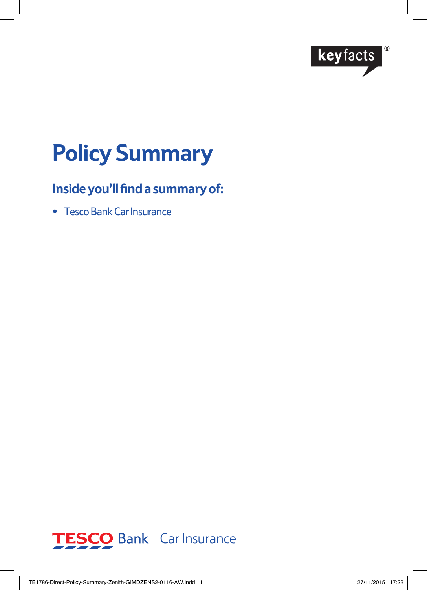

# **Policy Summary**

# **Inside you'll find a summary of:**

• Tesco Bank Car Insurance

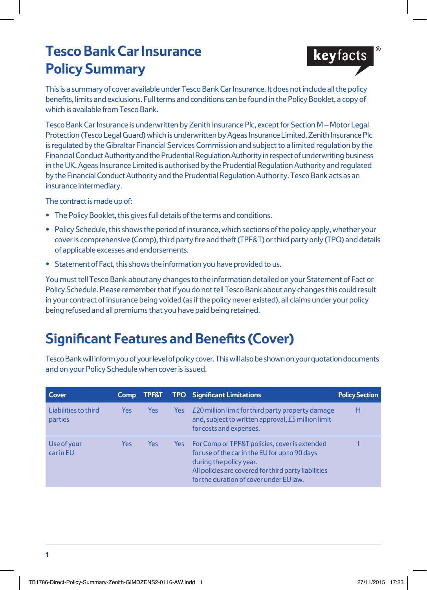# **Tesco Bank Car Insurance Policy Summary**



Tesco Bank Car Insurance is underwritten by Zenith Insurance Plc, except for Section M – Motor Legal Protection (Tesco Legal Guard) which is underwritten by Ageas Insurance Limited. Zenith Insurance Plc is regulated by the Gibraltar Financial Services Commission and subject to a limited regulation by the Financial Conduct Authority and the Prudential Regulation Authority in respect of underwriting business in the UK. Ageas Insurance Limited is authorised by the Prudential Regulation Authority and regulated by the Financial Conduct Authority and the Prudential Regulation Authority. Tesco Bank acts as an insurance intermediary.

The contract is made up of:

- The Policy Booklet, this gives full details of the terms and conditions.
- Policy Schedule, this shows the period of insurance, which sections of the policy apply, whether your cover is comprehensive (Comp), third party fire and theft (TPF&T) or third party only (TPO) and details of applicable excesses and endorsements.
- Statement of Fact, this shows the information you have provided to us.

You must tell Tesco Bank about any changes to the information detailed on your Statement of Fact or Policy Schedule. Please remember that if you do not tell Tesco Bank about any changes this could result in your contract of insurance being voided (as if the policy never existed), all claims under your policy being refused and all premiums that you have paid being retained.

# **Significant Features and Benefits (Cover)**

Tesco Bank will inform you of your level of policy cover. This will also be shown on your quotation documents and on your Policy Schedule when cover is issued.

| Cover                           | <b>Comp</b> | <b>TPF&amp;T</b> |      | <b>TPO</b> Significant Limitations                                                                                                                                                                                            | <b>Policy Section</b> |
|---------------------------------|-------------|------------------|------|-------------------------------------------------------------------------------------------------------------------------------------------------------------------------------------------------------------------------------|-----------------------|
| Liabilities to third<br>parties | <b>Yes</b>  | <b>Yes</b>       | Yes: | E20 million limit for third party property damage<br>and, subject to written approval, £5 million limit<br>for costs and expenses.                                                                                            | н                     |
| Use of your<br>car in EU        | Yes         | <b>Yes</b>       | Yes  | For Comp or TPF&T policies, cover is extended<br>for use of the car in the EU for up to 90 days<br>during the policy year.<br>All policies are covered for third party liabilities<br>for the duration of cover under EU law. |                       |

keyfacts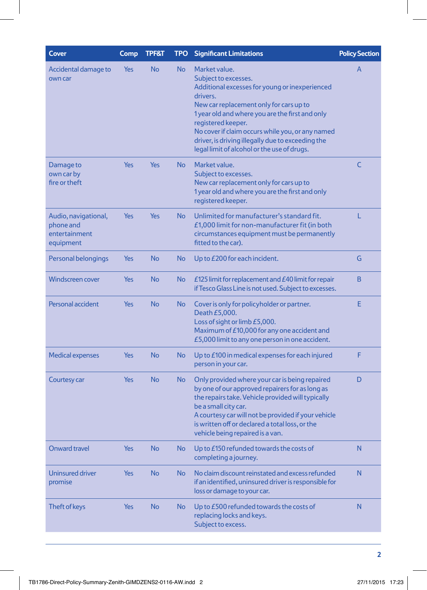| <b>No</b><br>No<br>Market value.<br>Accidental damage to<br>Yes<br>A<br>Subject to excesses.<br>own car<br>Additional excesses for young or inexperienced<br>drivers.<br>New car replacement only for cars up to<br>1 year old and where you are the first and only<br>registered keeper.<br>No cover if claim occurs while you, or any named<br>driver, is driving illegally due to exceeding the<br>legal limit of alcohol or the use of drugs.<br><b>Yes</b><br>No<br>Market value.<br>C<br>Damage to<br>Yes<br>own car by<br>Subject to excesses.<br>fire or theft<br>New car replacement only for cars up to<br>1 year old and where you are the first and only<br>registered keeper.<br><b>Yes</b><br>No<br>Unlimited for manufacturer's standard fit.<br>L<br>Audio, navigational,<br>Yes<br>phone and<br>£1,000 limit for non-manufacturer fit (in both<br>entertainment<br>circumstances equipment must be permanently<br>fitted to the car).<br>equipment<br>Yes<br><b>No</b><br>No<br>Up to £200 for each incident.<br>G<br>Personal belongings<br><b>Windscreen cover</b><br><b>No</b><br>£125 limit for replacement and $E40$ limit for repair<br>B<br>Yes<br>No<br>if Tesco Glass Line is not used. Subject to excesses.<br>Personal accident<br><b>Yes</b><br><b>No</b><br>No<br>Е<br>Cover is only for policyholder or partner.<br>Death £5,000.<br>Loss of sight or limb £5,000.<br>Maximum of £10,000 for any one accident and<br>£5,000 limit to any one person in one accident.<br><b>No</b><br>No<br>F<br><b>Medical expenses</b><br>Yes<br>Up to £100 in medical expenses for each injured<br>person in your car.<br><b>No</b><br>Only provided where your car is being repaired<br>D<br>Courtesy car<br>Yes<br>No<br>by one of our approved repairers for as long as<br>the repairs take. Vehicle provided will typically<br>be a small city car.<br>A courtesy car will not be provided if your vehicle<br>is written off or declared a total loss, or the<br>vehicle being repaired is a van.<br><b>Onward travel</b><br><b>No</b><br>No<br>Up to £150 refunded towards the costs of<br>N<br>Yes<br>completing a journey.<br>N<br><b>Uninsured driver</b><br>Yes<br><b>No</b><br>No<br>No claim discount reinstated and excess refunded<br>if an identified, uninsured driver is responsible for<br>promise<br>loss or damage to your car.<br>N<br>Theft of keys<br>Yes<br><b>No</b><br>No<br>Up to £500 refunded towards the costs of<br>replacing locks and keys.<br>Subject to excess. | Cover | <b>Comp</b> | <b>TPF&amp;T</b> | <b>TPO</b> | <b>Significant Limitations</b> | <b>Policy Section</b> |
|--------------------------------------------------------------------------------------------------------------------------------------------------------------------------------------------------------------------------------------------------------------------------------------------------------------------------------------------------------------------------------------------------------------------------------------------------------------------------------------------------------------------------------------------------------------------------------------------------------------------------------------------------------------------------------------------------------------------------------------------------------------------------------------------------------------------------------------------------------------------------------------------------------------------------------------------------------------------------------------------------------------------------------------------------------------------------------------------------------------------------------------------------------------------------------------------------------------------------------------------------------------------------------------------------------------------------------------------------------------------------------------------------------------------------------------------------------------------------------------------------------------------------------------------------------------------------------------------------------------------------------------------------------------------------------------------------------------------------------------------------------------------------------------------------------------------------------------------------------------------------------------------------------------------------------------------------------------------------------------------------------------------------------------------------------------------------------------------------------------------------------------------------------------------------------------------------------------------------------------------------------------------------------------------------------------------------------------------------------------------------------------------------------------------------------------------------------------------------------------------------------------------|-------|-------------|------------------|------------|--------------------------------|-----------------------|
|                                                                                                                                                                                                                                                                                                                                                                                                                                                                                                                                                                                                                                                                                                                                                                                                                                                                                                                                                                                                                                                                                                                                                                                                                                                                                                                                                                                                                                                                                                                                                                                                                                                                                                                                                                                                                                                                                                                                                                                                                                                                                                                                                                                                                                                                                                                                                                                                                                                                                                                    |       |             |                  |            |                                |                       |
|                                                                                                                                                                                                                                                                                                                                                                                                                                                                                                                                                                                                                                                                                                                                                                                                                                                                                                                                                                                                                                                                                                                                                                                                                                                                                                                                                                                                                                                                                                                                                                                                                                                                                                                                                                                                                                                                                                                                                                                                                                                                                                                                                                                                                                                                                                                                                                                                                                                                                                                    |       |             |                  |            |                                |                       |
|                                                                                                                                                                                                                                                                                                                                                                                                                                                                                                                                                                                                                                                                                                                                                                                                                                                                                                                                                                                                                                                                                                                                                                                                                                                                                                                                                                                                                                                                                                                                                                                                                                                                                                                                                                                                                                                                                                                                                                                                                                                                                                                                                                                                                                                                                                                                                                                                                                                                                                                    |       |             |                  |            |                                |                       |
|                                                                                                                                                                                                                                                                                                                                                                                                                                                                                                                                                                                                                                                                                                                                                                                                                                                                                                                                                                                                                                                                                                                                                                                                                                                                                                                                                                                                                                                                                                                                                                                                                                                                                                                                                                                                                                                                                                                                                                                                                                                                                                                                                                                                                                                                                                                                                                                                                                                                                                                    |       |             |                  |            |                                |                       |
|                                                                                                                                                                                                                                                                                                                                                                                                                                                                                                                                                                                                                                                                                                                                                                                                                                                                                                                                                                                                                                                                                                                                                                                                                                                                                                                                                                                                                                                                                                                                                                                                                                                                                                                                                                                                                                                                                                                                                                                                                                                                                                                                                                                                                                                                                                                                                                                                                                                                                                                    |       |             |                  |            |                                |                       |
|                                                                                                                                                                                                                                                                                                                                                                                                                                                                                                                                                                                                                                                                                                                                                                                                                                                                                                                                                                                                                                                                                                                                                                                                                                                                                                                                                                                                                                                                                                                                                                                                                                                                                                                                                                                                                                                                                                                                                                                                                                                                                                                                                                                                                                                                                                                                                                                                                                                                                                                    |       |             |                  |            |                                |                       |
|                                                                                                                                                                                                                                                                                                                                                                                                                                                                                                                                                                                                                                                                                                                                                                                                                                                                                                                                                                                                                                                                                                                                                                                                                                                                                                                                                                                                                                                                                                                                                                                                                                                                                                                                                                                                                                                                                                                                                                                                                                                                                                                                                                                                                                                                                                                                                                                                                                                                                                                    |       |             |                  |            |                                |                       |
|                                                                                                                                                                                                                                                                                                                                                                                                                                                                                                                                                                                                                                                                                                                                                                                                                                                                                                                                                                                                                                                                                                                                                                                                                                                                                                                                                                                                                                                                                                                                                                                                                                                                                                                                                                                                                                                                                                                                                                                                                                                                                                                                                                                                                                                                                                                                                                                                                                                                                                                    |       |             |                  |            |                                |                       |
|                                                                                                                                                                                                                                                                                                                                                                                                                                                                                                                                                                                                                                                                                                                                                                                                                                                                                                                                                                                                                                                                                                                                                                                                                                                                                                                                                                                                                                                                                                                                                                                                                                                                                                                                                                                                                                                                                                                                                                                                                                                                                                                                                                                                                                                                                                                                                                                                                                                                                                                    |       |             |                  |            |                                |                       |
|                                                                                                                                                                                                                                                                                                                                                                                                                                                                                                                                                                                                                                                                                                                                                                                                                                                                                                                                                                                                                                                                                                                                                                                                                                                                                                                                                                                                                                                                                                                                                                                                                                                                                                                                                                                                                                                                                                                                                                                                                                                                                                                                                                                                                                                                                                                                                                                                                                                                                                                    |       |             |                  |            |                                |                       |
|                                                                                                                                                                                                                                                                                                                                                                                                                                                                                                                                                                                                                                                                                                                                                                                                                                                                                                                                                                                                                                                                                                                                                                                                                                                                                                                                                                                                                                                                                                                                                                                                                                                                                                                                                                                                                                                                                                                                                                                                                                                                                                                                                                                                                                                                                                                                                                                                                                                                                                                    |       |             |                  |            |                                |                       |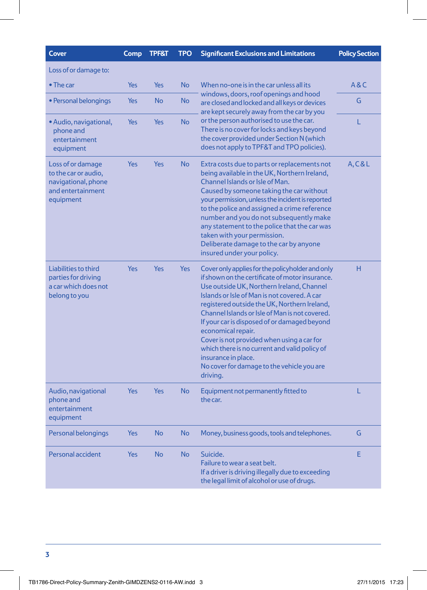| <b>Cover</b>                                                                                       | Comp       | <b>TPF&amp;T</b> | <b>TPO</b> | <b>Significant Exclusions and Limitations</b>                                                                                                                                                                                                                                                                                                                                                                                                                                                                                                            | <b>Policy Section</b> |
|----------------------------------------------------------------------------------------------------|------------|------------------|------------|----------------------------------------------------------------------------------------------------------------------------------------------------------------------------------------------------------------------------------------------------------------------------------------------------------------------------------------------------------------------------------------------------------------------------------------------------------------------------------------------------------------------------------------------------------|-----------------------|
| Loss of or damage to:                                                                              |            |                  |            |                                                                                                                                                                                                                                                                                                                                                                                                                                                                                                                                                          |                       |
| $\bullet$ The car                                                                                  | <b>Yes</b> | Yes              | <b>No</b>  | When no-one is in the car unless all its<br>windows, doors, roof openings and hood<br>are closed and locked and all keys or devices<br>are kept securely away from the car by you                                                                                                                                                                                                                                                                                                                                                                        | A&C                   |
| • Personal belongings                                                                              | <b>Yes</b> | <b>No</b>        | <b>No</b>  |                                                                                                                                                                                                                                                                                                                                                                                                                                                                                                                                                          | G                     |
| • Audio, navigational,<br>phone and<br>entertainment<br>equipment                                  | <b>Yes</b> | Yes              | <b>No</b>  | or the person authorised to use the car.<br>There is no cover for locks and keys beyond<br>the cover provided under Section N (which<br>does not apply to TPF&T and TPO policies).                                                                                                                                                                                                                                                                                                                                                                       | L                     |
| Loss of or damage<br>to the car or audio,<br>navigational, phone<br>and entertainment<br>equipment | Yes        | <b>Yes</b>       | <b>No</b>  | Extra costs due to parts or replacements not<br>being available in the UK, Northern Ireland,<br>Channel Islands or Isle of Man.<br>Caused by someone taking the car without<br>your permission, unless the incident is reported<br>to the police and assigned a crime reference<br>number and you do not subsequently make<br>any statement to the police that the car was<br>taken with your permission.<br>Deliberate damage to the car by anyone<br>insured under your policy.                                                                        | A, C & L              |
| Liabilities to third<br>parties for driving<br>a car which does not<br>belong to you               | Yes        | <b>Yes</b>       | <b>Yes</b> | Cover only applies for the policyholder and only<br>if shown on the certificate of motor insurance.<br>Use outside UK, Northern Ireland, Channel<br>Islands or Isle of Man is not covered. A car<br>registered outside the UK, Northern Ireland,<br>Channel Islands or Isle of Man is not covered.<br>If your car is disposed of or damaged beyond<br>economical repair.<br>Cover is not provided when using a car for<br>which there is no current and valid policy of<br>insurance in place.<br>No cover for damage to the vehicle you are<br>driving. | H                     |
| Audio, navigational<br>phone and<br>entertainment<br>equipment                                     | Yes        | Yes              | <b>No</b>  | Equipment not permanently fitted to<br>the car.                                                                                                                                                                                                                                                                                                                                                                                                                                                                                                          | L                     |
| Personal belongings                                                                                | Yes        | <b>No</b>        | <b>No</b>  | Money, business goods, tools and telephones.                                                                                                                                                                                                                                                                                                                                                                                                                                                                                                             | G                     |
| Personal accident                                                                                  | Yes        | <b>No</b>        | <b>No</b>  | Suicide.<br>Failure to wear a seat belt.<br>If a driver is driving illegally due to exceeding<br>the legal limit of alcohol or use of drugs.                                                                                                                                                                                                                                                                                                                                                                                                             | E                     |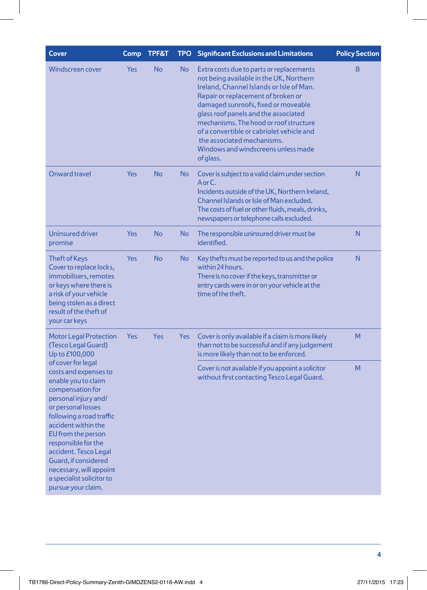| <b>Cover</b>                                                                                                                                                                                                                                                                                                                                                        | Comp                     | TPF&T     | <b>TPO</b>                                                                                       | <b>Significant Exclusions and Limitations</b>                                                                                                                                                                                                                                                                                                                                                                                 | <b>Policy Section</b> |
|---------------------------------------------------------------------------------------------------------------------------------------------------------------------------------------------------------------------------------------------------------------------------------------------------------------------------------------------------------------------|--------------------------|-----------|--------------------------------------------------------------------------------------------------|-------------------------------------------------------------------------------------------------------------------------------------------------------------------------------------------------------------------------------------------------------------------------------------------------------------------------------------------------------------------------------------------------------------------------------|-----------------------|
| <b>Windscreen cover</b>                                                                                                                                                                                                                                                                                                                                             | <b>Yes</b>               | <b>No</b> | <b>No</b>                                                                                        | Extra costs due to parts or replacements<br>not being available in the UK, Northern<br>Ireland, Channel Islands or Isle of Man.<br>Repair or replacement of broken or<br>damaged sunroofs, fixed or moveable<br>glass roof panels and the associated<br>mechanisms. The hood or roof structure<br>of a convertible or cabriolet vehicle and<br>the associated mechanisms.<br>Windows and windscreens unless made<br>of glass. | B                     |
| Onward travel                                                                                                                                                                                                                                                                                                                                                       | <b>Yes</b>               | <b>No</b> | <b>No</b>                                                                                        | Cover is subject to a valid claim under section<br>A or C.<br>Incidents outside of the UK, Northern Ireland,<br>Channel Islands or Isle of Man excluded.<br>The costs of fuel or other fluids, meals, drinks,<br>newspapers or telephone calls excluded.                                                                                                                                                                      | N                     |
| <b>Uninsured driver</b><br>promise                                                                                                                                                                                                                                                                                                                                  | <b>Yes</b>               | <b>No</b> | <b>No</b>                                                                                        | The responsible uninsured driver must be<br>identified.                                                                                                                                                                                                                                                                                                                                                                       | N                     |
| <b>Theft of Keys</b><br>Cover to replace locks,<br>immobilisers, remotes<br>or keys where there is<br>a risk of your vehicle<br>being stolen as a direct<br>result of the theft of<br>your car keys                                                                                                                                                                 | Yes                      | <b>No</b> | No                                                                                               | Key thefts must be reported to us and the police<br>within 24 hours.<br>There is no cover if the keys, transmitter or<br>entry cards were in or on your vehicle at the<br>time of the theft.                                                                                                                                                                                                                                  | N                     |
| <b>Motor Legal Protection</b><br>(Tesco Legal Guard)<br>Up to £100,000                                                                                                                                                                                                                                                                                              | <b>Yes</b><br><b>Yes</b> |           | <b>Yes</b>                                                                                       | Cover is only available if a claim is more likely<br>than not to be successful and if any judgement<br>is more likely than not to be enforced.                                                                                                                                                                                                                                                                                | M                     |
| of cover for legal<br>costs and expenses to<br>enable you to claim<br>compensation for<br>personal injury and/<br>or personal losses<br>following a road traffic<br>accident within the<br>EU from the person<br>responsible for the<br>accident. Tesco Legal<br>Guard, if considered<br>necessary, will appoint<br>a specialist solicitor to<br>pursue your claim. |                          |           | Cover is not available if you appoint a solicitor<br>without first contacting Tesco Legal Guard. | M                                                                                                                                                                                                                                                                                                                                                                                                                             |                       |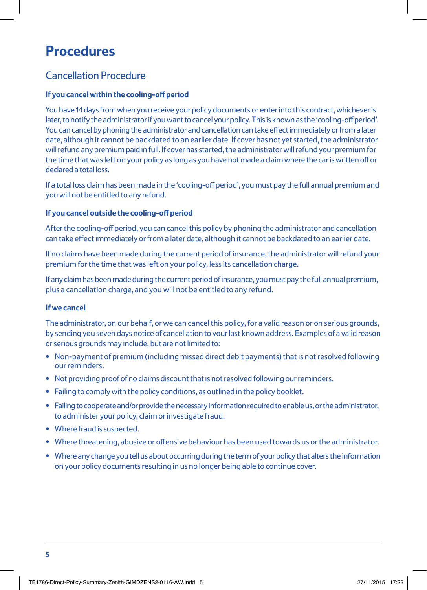# **Procedures**

### Cancellation Procedure

### **If you cancel within the cooling-off period**

You have 14 days from when you receive your policy documents or enter into this contract, whichever is later, to notify the administrator if you want to cancel your policy. This is known as the 'cooling-off period'. You can cancel by phoning the administrator and cancellation can take effect immediately or from a later date, although it cannot be backdated to an earlier date. If cover has not yet started, the administrator will refund any premium paid in full. If cover has started, the administrator will refund your premium for the time that was left on your policy as long as you have not made a claim where the car is written off or declared a total loss.

If a total loss claim has been made in the 'cooling-off period', you must pay the full annual premium and you will not be entitled to any refund.

#### **If you cancel outside the cooling-off period**

After the cooling-off period, you can cancel this policy by phoning the administrator and cancellation can take effect immediately or from a later date, although it cannot be backdated to an earlier date.

If no claims have been made during the current period of insurance, the administrator will refund your premium for the time that was left on your policy, less its cancellation charge.

If any claim has been made during the current period of insurance, you must pay the full annual premium, plus a cancellation charge, and you will not be entitled to any refund.

#### **If we cancel**

The administrator, on our behalf, or we can cancel this policy, for a valid reason or on serious grounds, by sending you seven days notice of cancellation to your last known address. Examples of a valid reason or serious grounds may include, but are not limited to:

- Non-payment of premium (including missed direct debit payments) that is not resolved following our reminders.
- Not providing proof of no claims discount that is not resolved following our reminders.
- Failing to comply with the policy conditions, as outlined in the policy booklet.
- Failing to cooperate and/or provide the necessary information required to enable us, or the administrator, to administer your policy, claim or investigate fraud.
- Where fraud is suspected.
- Where threatening, abusive or offensive behaviour has been used towards us or the administrator.
- Where any change you tell us about occurring during the term of your policy that alters the information on your policy documents resulting in us no longer being able to continue cover.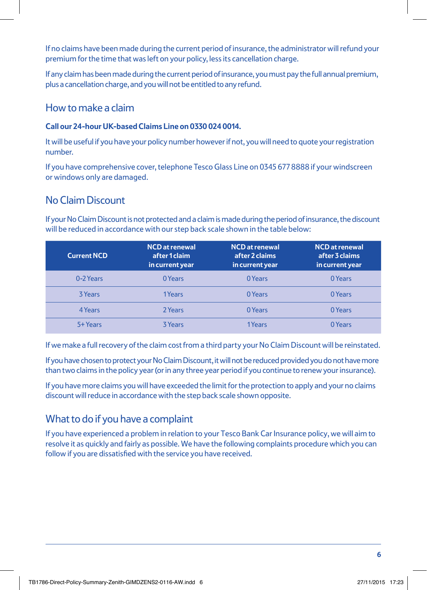If no claims have been made during the current period of insurance, the administrator will refund your premium for the time that was left on your policy, less its cancellation charge.

If any claim has been made during the current period of insurance, you must pay the full annual premium, plus a cancellation charge, and you will not be entitled to any refund.

### How to make a claim

#### **Call our 24-hour UK-based Claims Line on 0330 024 0014.**

It will be useful if you have your policy number however if not, you will need to quote your registration number.

If you have comprehensive cover, telephone Tesco Glass Line on 0345 677 8888 if your windscreen or windows only are damaged.

## No Claim Discount

If your No Claim Discount is not protected and a claim is made during the period of insurance, the discount will be reduced in accordance with our step back scale shown in the table below:

| <b>Current NCD</b> | <b>NCD</b> at renewal<br>after 1 claim<br>in current year | <b>NCD</b> at renewal<br>after 2 claims<br>in current year | <b>NCD</b> at renewal<br>after 3 claims<br>in current year, |
|--------------------|-----------------------------------------------------------|------------------------------------------------------------|-------------------------------------------------------------|
| 0-2 Years          | 0 Years                                                   | 0 Years                                                    | 0 Years                                                     |
| 3 Years            | 1Years                                                    | 0 Years                                                    | 0 Years                                                     |
| 4 Years            | 2 Years                                                   | 0 Years                                                    | 0 Years                                                     |
| 5+ Years           | <b>3 Years</b>                                            | 1Years                                                     | 0 Years                                                     |

If we make a full recovery of the claim cost from a third party your No Claim Discount will be reinstated.

If you have chosen to protect your No Claim Discount, it will not be reduced provided you do not have more than two claims in the policy year (or in any three year period if you continue to renew your insurance).

If you have more claims you will have exceeded the limit for the protection to apply and your no claims discount will reduce in accordance with the step back scale shown opposite.

### What to do if you have a complaint

If you have experienced a problem in relation to your Tesco Bank Car Insurance policy, we will aim to resolve it as quickly and fairly as possible. We have the following complaints procedure which you can follow if you are dissatisfied with the service you have received.